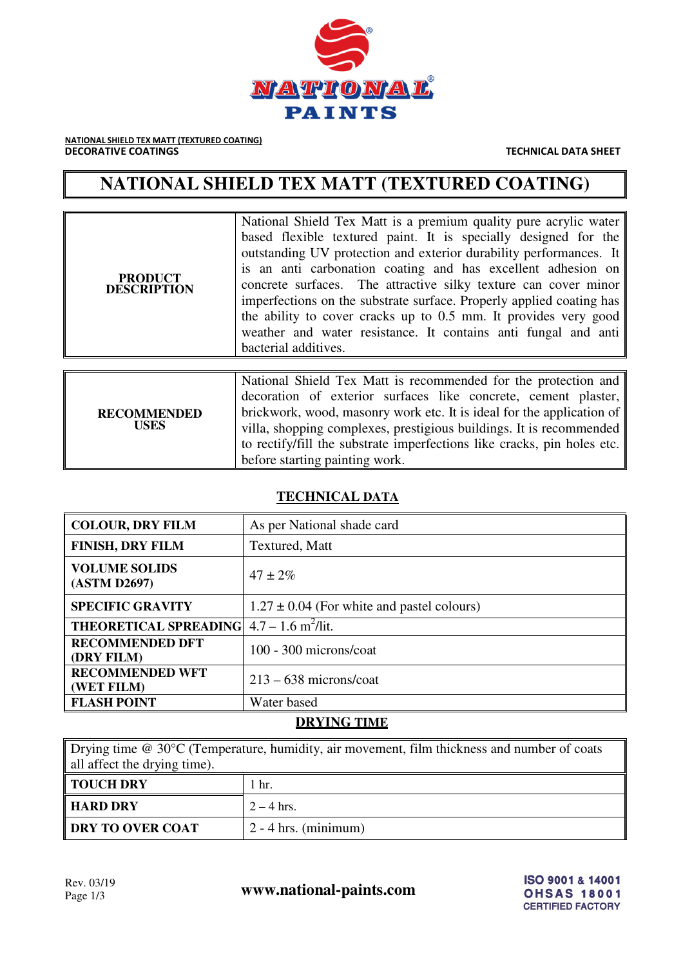

NATIONAL SHIELD TEX MATT (TEXTURED COATING) **DECORATIVE COATINGS** THE CONSTRUCTED ASSESSED AS A RESIDENCE ON THE CHINESE TECHNICAL DATA SHEET

# **NATIONAL SHIELD TEX MATT (TEXTURED COATING)**

| <b>PRODUCT</b><br><b>DESCRIPTION</b> | National Shield Tex Matt is a premium quality pure acrylic water<br>based flexible textured paint. It is specially designed for the<br>outstanding UV protection and exterior durability performances. It<br>is an anti carbonation coating and has excellent adhesion on<br>concrete surfaces. The attractive silky texture can cover minor<br>imperfections on the substrate surface. Properly applied coating has<br>the ability to cover cracks up to 0.5 mm. It provides very good<br>weather and water resistance. It contains anti-fungal and anti-<br>bacterial additives. |  |
|--------------------------------------|------------------------------------------------------------------------------------------------------------------------------------------------------------------------------------------------------------------------------------------------------------------------------------------------------------------------------------------------------------------------------------------------------------------------------------------------------------------------------------------------------------------------------------------------------------------------------------|--|
|                                      |                                                                                                                                                                                                                                                                                                                                                                                                                                                                                                                                                                                    |  |
| <b>RECOMMENDED</b><br><b>USES</b>    | National Shield Tex Matt is recommended for the protection and<br>decoration of exterior surfaces like concrete, cement plaster,<br>brickwork, wood, masonry work etc. It is ideal for the application of<br>villa, shopping complexes, prestigious buildings. It is recommended<br>to rectify/fill the substrate imperfections like cracks, pin holes etc.<br>before starting painting work.                                                                                                                                                                                      |  |

# **TECHNICAL DATA**

| <b>COLOUR, DRY FILM</b>              | As per National shade card                     |
|--------------------------------------|------------------------------------------------|
| <b>FINISH, DRY FILM</b>              | Textured, Matt                                 |
| <b>VOLUME SOLIDS</b><br>(ASTM D2697) | $47 \pm 2\%$                                   |
| <b>SPECIFIC GRAVITY</b>              | $1.27 \pm 0.04$ (For white and pastel colours) |
| <b>THEORETICAL SPREADING</b>         | $4.7 - 1.6$ m <sup>2</sup> /lit.               |
| <b>RECOMMENDED DFT</b><br>(DRY FILM) | 100 - 300 microns/coat                         |
| <b>RECOMMENDED WFT</b><br>(WET FILM) | $213 - 638$ microns/coat                       |
| <b>FLASH POINT</b>                   | Water based                                    |

## **DRYING TIME**

Drying time @ 30°C (Temperature, humidity, air movement, film thickness and number of coats all affect the drying time).

| TOUCH DRY        | hr.                              |
|------------------|----------------------------------|
| HARD DRY         | $2 - 4$ hrs.                     |
| DRY TO OVER COAT | $\frac{1}{2}$ - 4 hrs. (minimum) |

Rev. 03/19<br>Page 1/3 **www.national-paints.com**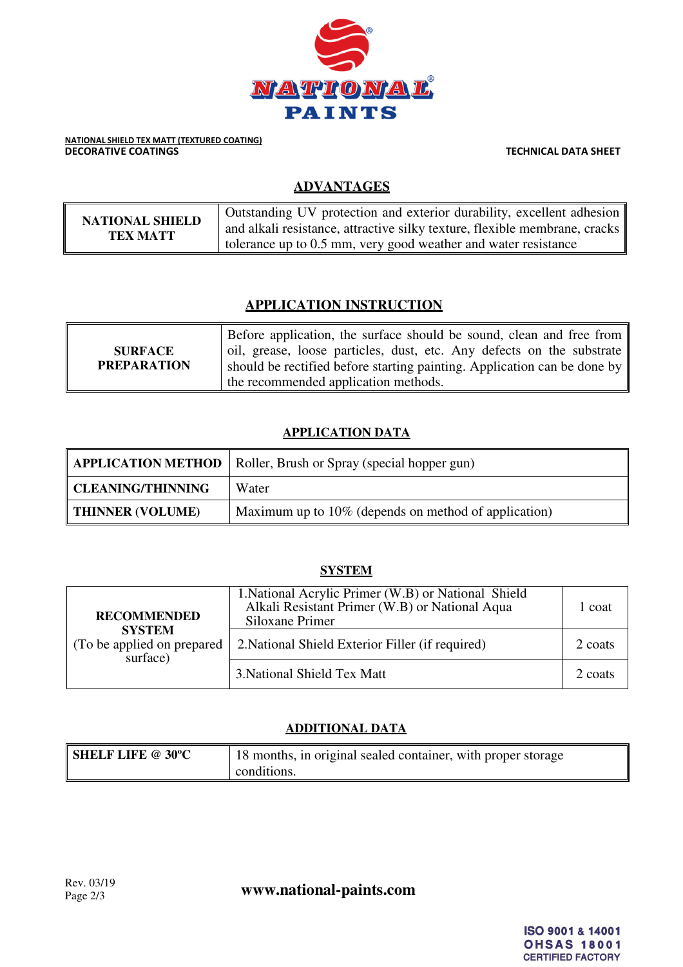

NATIONAL SHIELD TEX MATT (TEXTURED COATING) **DECORATIVE COATINGS TECHNICAL DATA SHEET** 

## **ADVANTAGES**

| <b>NATIONAL SHIELD</b> | Outstanding UV protection and exterior durability, excellent adhesion<br>and alkali resistance, attractive silky texture, flexible membrane, cracks |
|------------------------|-----------------------------------------------------------------------------------------------------------------------------------------------------|
| TEX MATT               | tolerance up to 0.5 mm, very good weather and water resistance                                                                                      |

## **APPLICATION INSTRUCTION**

| <b>SURFACE</b><br><b>PREPARATION</b> | Before application, the surface should be sound, clean and free from<br>oil, grease, loose particles, dust, etc. Any defects on the substrate<br>should be rectified before starting painting. Application can be done by |
|--------------------------------------|---------------------------------------------------------------------------------------------------------------------------------------------------------------------------------------------------------------------------|
|                                      | the recommended application methods.                                                                                                                                                                                      |

#### **APPLICATION DATA**

|                          | <b>APPLICATION METHOD</b>   Roller, Brush or Spray (special hopper gun) |
|--------------------------|-------------------------------------------------------------------------|
| <b>CLEANING/THINNING</b> | Water                                                                   |
| <b>THINNER (VOLUME)</b>  | Maximum up to 10% (depends on method of application)                    |

#### **SYSTEM**

| <b>RECOMMENDED</b><br><b>SYSTEM</b><br>(To be applied on prepared)<br>surface) | 1. National Acrylic Primer (W.B) or National Shield<br>Alkali Resistant Primer (W.B) or National Aqua<br>Siloxane Primer | 1 coat  |
|--------------------------------------------------------------------------------|--------------------------------------------------------------------------------------------------------------------------|---------|
|                                                                                | 2. National Shield Exterior Filler (if required)                                                                         | 2 coats |
|                                                                                | 3. National Shield Tex Matt                                                                                              | 2 coats |

## **ADDITIONAL DATA**

| <b>SHELF LIFE @ 30°C</b> | 18 months, in original sealed container, with proper storage |
|--------------------------|--------------------------------------------------------------|
|                          | conditions.                                                  |